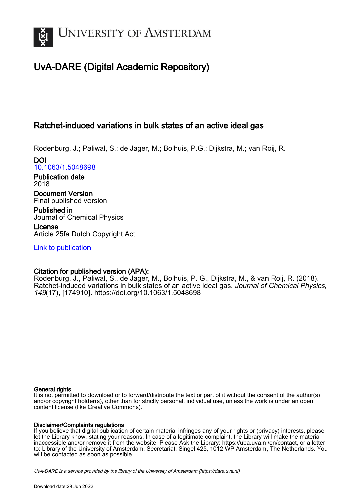

# UvA-DARE (Digital Academic Repository)

## Ratchet-induced variations in bulk states of an active ideal gas

Rodenburg, J.; Paliwal, S.; de Jager, M.; Bolhuis, P.G.; Dijkstra, M.; van Roij, R.

DOI [10.1063/1.5048698](https://doi.org/10.1063/1.5048698)

Publication date 2018

Document Version Final published version

Published in Journal of Chemical Physics

License Article 25fa Dutch Copyright Act

[Link to publication](https://dare.uva.nl/personal/pure/en/publications/ratchetinduced-variations-in-bulk-states-of-an-active-ideal-gas(37413283-1192-400a-b421-a47f35bbe500).html)

## Citation for published version (APA):

Rodenburg, J., Paliwal, S., de Jager, M., Bolhuis, P. G., Dijkstra, M., & van Roij, R. (2018). Ratchet-induced variations in bulk states of an active ideal gas. Journal of Chemical Physics, 149(17), [174910].<https://doi.org/10.1063/1.5048698>

## General rights

It is not permitted to download or to forward/distribute the text or part of it without the consent of the author(s) and/or copyright holder(s), other than for strictly personal, individual use, unless the work is under an open content license (like Creative Commons).

## Disclaimer/Complaints regulations

If you believe that digital publication of certain material infringes any of your rights or (privacy) interests, please let the Library know, stating your reasons. In case of a legitimate complaint, the Library will make the material inaccessible and/or remove it from the website. Please Ask the Library: https://uba.uva.nl/en/contact, or a letter to: Library of the University of Amsterdam, Secretariat, Singel 425, 1012 WP Amsterdam, The Netherlands. You will be contacted as soon as possible.

UvA-DARE is a service provided by the library of the University of Amsterdam (http*s*://dare.uva.nl)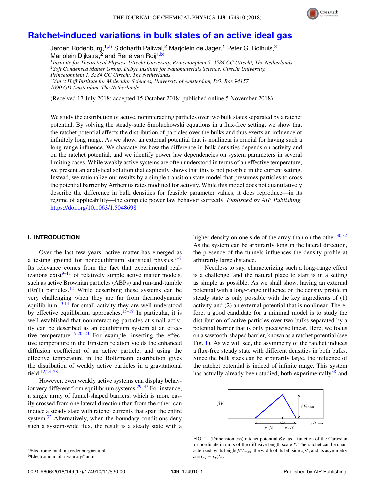

## **[Ratchet-induced variations in bulk states of an active ideal gas](https://doi.org/10.1063/1.5048698)**

Jeroen Rodenburg,<sup>1[,a\)](#page-1-0)</sup> Siddharth Paliwal,<sup>2</sup> Marjolein de Jager,<sup>1</sup> Peter G. Bolhuis,<sup>3</sup> Marjolein Dijkstra,<sup>2</sup> and René van Roij<sup>1[,b\)](#page-1-1)</sup>

 *Institute for Theoretical Physics, Utrecht University, Princetonplein 5, 3584 CC Utrecht, The Netherlands Soft Condensed Matter Group, Debye Institute for Nanomaterials Science, Utrecht University, Princetonplein 1, 3584 CC Utrecht, The Netherlands Van 't Hoff Institute for Molecular Sciences, University of Amsterdam, P.O. Box 94157,*

*1090 GD Amsterdam, The Netherlands*

(Received 17 July 2018; accepted 15 October 2018; published online 5 November 2018)

We study the distribution of active, noninteracting particles over two bulk states separated by a ratchet potential. By solving the steady-state Smoluchowski equations in a flux-free setting, we show that the ratchet potential affects the distribution of particles over the bulks and thus exerts an influence of infinitely long range. As we show, an external potential that is nonlinear is crucial for having such a long-range influence. We characterize how the difference in bulk densities depends on activity and on the ratchet potential, and we identify power law dependencies on system parameters in several limiting cases. While weakly active systems are often understood in terms of an effective temperature, we present an analytical solution that explicitly shows that this is not possible in the current setting. Instead, we rationalize our results by a simple transition state model that presumes particles to cross the potential barrier by Arrhenius rates modified for activity. While this model does not quantitatively describe the difference in bulk densities for feasible parameter values, it does reproduce—in its regime of applicability—the complete power law behavior correctly. *Published by AIP Publishing.* <https://doi.org/10.1063/1.5048698>

#### **I. INTRODUCTION**

Over the last few years, active matter has emerged as a testing ground for nonequilibrium statistical physics.<sup>[1](#page-10-0)[–8](#page-10-1)</sup> Its relevance comes from the fact that experimental realizations exist $9-11$  $9-11$  of relatively simple active matter models, such as active Brownian particles (ABPs) and run-and-tumble  $(RnT)$  particles.<sup>[12](#page-10-4)</sup> While describing these systems can be very challenging when they are far from thermodynamic equilibrium, $13,14$  $13,14$  for small activity they are well understood by effective equilibrium approaches.<sup>[15](#page-10-7)[–19](#page-11-0)</sup> In particular, it is well established that noninteracting particles at small activity can be described as an equilibrium system at an effec-tive temperature.<sup>[17](#page-11-1)[,20](#page-11-2)[–23](#page-11-3)</sup> For example, inserting the effective temperature in the Einstein relation yields the enhanced diffusion coefficient of an active particle, and using the effective temperature in the Boltzmann distribution gives the distribution of weakly active particles in a gravitational field.[12,](#page-10-4)[23–](#page-11-3)[28](#page-11-4)

However, even weakly active systems can display behav-ior very different from equilibrium systems.<sup>[29–](#page-11-5)[37](#page-11-6)</sup> For instance, a single array of funnel-shaped barriers, which is more easily crossed from one lateral direction than from the other, can induce a steady state with ratchet currents that span the entire system. $32$  Alternatively, when the boundary conditions deny such a system-wide flux, the result is a steady state with a higher density on one side of the array than on the other. $30,32$  $30,32$ As the system can be arbitrarily long in the lateral direction, the presence of the funnels influences the density profile at arbitrarily large distance.

Needless to say, characterizing such a long-range effect is a challenge, and the natural place to start is in a setting as simple as possible. As we shall show, having an external potential with a long-range influence on the density profile in steady state is only possible with the key ingredients of (1) activity and (2) an external potential that is nonlinear. Therefore, a good candidate for a minimal model is to study the distribution of active particles over two bulks separated by a potential barrier that is only piecewise linear. Here, we focus on a sawtooth-shaped barrier, known as a ratchet potential (see Fig. [1\)](#page-1-2). As we will see, the asymmetry of the ratchet induces a flux-free steady state with different densities in both bulks. Since the bulk sizes can be arbitrarily large, the influence of the ratchet potential is indeed of infinite range. This system has actually already been studied, both experimentally  $38$  and

<span id="page-1-2"></span>

FIG. 1. (Dimensionless) ratchet potential  $\beta V$ , as a function of the Cartesian *x*-coordinate in units of the diffusive length scale  $\ell$ . The ratchet can be characterized by its height  $\beta V_{\text{max}}$ , the width of its left side  $x_l/\ell$ , and its asymmetry  $a = (x_l - x_l)/r$  $a = (x_l - x_r)/x_r$ .

<span id="page-1-0"></span>a)Electronic mail: [a.j.rodenburg@uu.nl](mailto:a.j.rodenburg@uu.nl)

<span id="page-1-1"></span>b)Electronic mail: [r.vanroij@uu.nl](mailto:r.vanroij@uu.nl)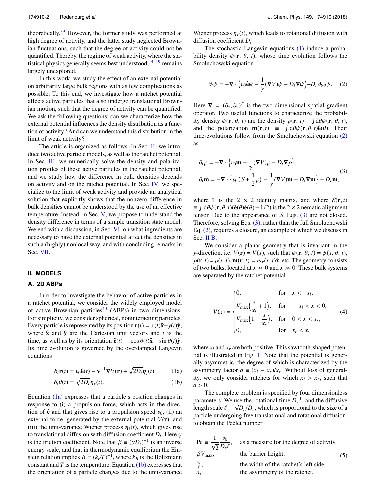theoretically. $39$  However, the former study was performed at high degree of activity, and the latter study neglected Brownian fluctuations, such that the degree of activity could not be quantified. Thereby, the regime of weak activity, where the statistical physics generally seems best understood,  $14-19$  $14-19$  remains largely unexplored.

In this work, we study the effect of an external potential on arbitrarily large bulk regions with as few complications as possible. To this end, we investigate how a ratchet potential affects active particles that also undergo translational Brownian motion, such that the degree of activity can be quantified. We ask the following questions: can we characterize how the external potential influences the density distribution as a function of activity? And can we understand this distribution in the limit of weak activity?

The article is organized as follows. In Sec. [II,](#page-2-0) we introduce two active particle models, as well as the ratchet potential. In Sec. [III,](#page-3-0) we numerically solve the density and polarization profiles of these active particles in the ratchet potential, and we study how the difference in bulk densities depends on activity and on the ratchet potential. In Sec. [IV,](#page-5-0) we specialize to the limit of weak activity and provide an analytical solution that explicitly shows that the nonzero difference in bulk densities cannot be understood by the use of an effective temperature. Instead, in Sec. [V,](#page-7-0) we propose to understand the density difference in terms of a simple transition state model. We end with a discussion, in Sec. [VI,](#page-8-0) on what ingredients are necessary to have the external potential affect the densities in such a (highly) nonlocal way, and with concluding remarks in Sec. [VII.](#page-9-0)

#### <span id="page-2-0"></span>**II. MODELS**

## **A. 2D ABPs**

In order to investigate the behavior of active particles in a ratchet potential, we consider the widely employed model of active Brownian particles<sup>[40](#page-11-11)</sup> (ABPs) in two dimensions. For simplicity, we consider spherical, noninteracting particles. Every particle is represented by its position  $\mathbf{r}(t) = x(t)\hat{\mathbf{x}} + y(t)\hat{\mathbf{y}}$ , where  $\hat{\mathbf{x}}$  and  $\hat{\mathbf{y}}$  are the Cartesian unit vectors and *t* is the time, as well as by its orientation  $\hat{\mathbf{e}}(t) \equiv \cos \theta(t)\hat{\mathbf{x}} + \sin \theta(t)\hat{\mathbf{y}}$ . Its time evolution is governed by the overdamped Langevin equations

$$
\partial_t \mathbf{r}(t) = v_0 \hat{\mathbf{e}}(t) - \gamma^{-1} \nabla V(\mathbf{r}) + \sqrt{2D_t} \eta_t(t), \tag{1a}
$$

$$
\partial_t \theta(t) = \sqrt{2D_r} \eta_r(t). \tag{1b}
$$

Equation [\(1a\)](#page-2-1) expresses that a particle's position changes in response to (i) a propulsion force, which acts in the direction of  $\hat{\mathbf{e}}$  and that gives rise to a propulsion speed  $v_0$ , (ii) an external force, generated by the external potential  $V(\mathbf{r})$ , and (iii) the unit-variance Wiener process  $\eta_t(t)$ , which gives rise to translational diffusion with diffusion coefficient  $D_t$ . Here  $\gamma$ <br>is the friction coefficient. Note that  $\beta = (\gamma D)^{-1}$  is an inverse is the friction coefficient. Note that  $\beta \equiv (\gamma D_t)^{-1}$  is an inverse<br>energy scale, and that in thermodynamic equilibrium the Finenergy scale, and that in thermodynamic equilibrium the Einstein relation implies  $\beta = (k_B T)^{-1}$ , where  $k_B$  is the Boltzmann<br>constant and *T* is the temperature Equation (1b) expresses that constant and  $T$  is the temperature. Equation  $(1b)$  expresses that the orientation of a particle changes due to the unit-variance

Wiener process  $\eta_r(t)$ , which leads to rotational diffusion with diffusion coefficient *D<sup>r</sup>* .

The stochastic Langevin equations [\(1\)](#page-2-1) induce a probability density  $\psi(\mathbf{r}, \theta, t)$ , whose time evolution follows the Smoluchowski equation

<span id="page-2-3"></span>
$$
\partial_t \psi = -\nabla \cdot \left( v_0 \hat{\mathbf{e}} \psi - \frac{1}{\gamma} (\nabla V) \psi - D_t \nabla \psi \right) + D_r \partial_{\theta \theta} \psi. \tag{2}
$$

Here  $\nabla = (\partial_x, \partial_y)^T$  is the two-dimensional spatial gradient operator. Two useful functions to characterize the probabiloperator. Two useful functions to characterize the probability density  $\psi(\mathbf{r}, \theta, t)$  are the density  $\rho(\mathbf{r}, t) \equiv \int d\theta \psi(\mathbf{r}, \theta, t)$ , and the polarization  $\mathbf{m}(\mathbf{r}, t) \equiv \int d\theta \psi(\mathbf{r}, \theta, t) \hat{\mathbf{e}}(\theta)$ . Their time-evolutions follow from the Smoluchowski equation [\(2\)](#page-2-3) as

<span id="page-2-4"></span>
$$
\partial_t \rho = -\nabla \cdot \left\{ v_0 \mathbf{m} - \frac{1}{\gamma} (\nabla V) \rho - D_t \nabla \rho \right\},\
$$
  
\n
$$
\partial_t \mathbf{m} = -\nabla \cdot \left\{ v_0 (S + \frac{1}{2} \rho) - \frac{1}{\gamma} (\nabla V) \mathbf{m} - D_t \nabla \mathbf{m} \right\} - D_t \mathbf{m},
$$
\n(3)

where 1 is the 2  $\times$  2 identity matrix, and where  $S(\mathbf{r}, t)$  $\equiv$  ∫ dθ $\psi$ (**r**,  $\theta$ , *t*)( $\hat{\mathbf{e}}$ ( $\theta$ ) $\hat{\mathbf{e}}$ ( $\theta$ ) − 1/2) is the 2 × 2 nematic alignment tensor. Due to the appearance of  $S$ , Eqs.  $(3)$  are not closed. Therefore, solving Eqs.  $(3)$ , rather than the full Smoluchowski Eq. [\(2\),](#page-2-3) requires a closure, an example of which we discuss in Sec. [II B.](#page-3-1)

We consider a planar geometry that is invariant in the *y*-direction, i.e.  $V(\mathbf{r}) = V(x)$ , such that  $\psi(\mathbf{r}, \theta, t) = \psi(x, \theta, t)$ ,  $\rho(\mathbf{r}, t) = \rho(x, t)$ ,  $\mathbf{m}(\mathbf{r}, t) = m_x(x, t)\hat{\mathbf{x}}$ , etc. The geometry consists of two bulks, located at  $x \ll 0$  and  $x \gg 0$ . These bulk systems are separated by the ratchet potential

<span id="page-2-5"></span>
$$
V(x) = \begin{cases} 0, & \text{for } x < -x_l, \\ V_{\text{max}}\left(\frac{x}{x_l} + 1\right), & \text{for } -x_l < x < 0, \\ V_{\text{max}}\left(1 - \frac{x}{x_r}\right), & \text{for } 0 < x < x_r, \\ 0, & \text{for } x_r < x, \end{cases} \tag{4}
$$

<span id="page-2-1"></span>where  $x_l$  and  $x_r$  are both positive. This sawtooth-shaped potential is illustrated in Fig. [1.](#page-1-2) Note that the potential is generally asymmetric, the degree of which is characterized by the asymmetry factor  $a \equiv (x_l - x_r)/x_r$ . Without loss of generality, we only consider ratchets for which  $x_l > x_r$ , such that  $a > 0$  $a > 0$ .

<span id="page-2-2"></span>The complete problem is specified by four dimensionless parameters. We use the rotational time  $D_r^{-1}$ , and the diffusive length scale  $\ell \equiv \sqrt{D_t/D_r}$ , which is proportional to the size of a particle undergoing free translational and rotational diffusion particle undergoing free translational and rotational diffusion, to obtain the Peclet number

| Pe $\equiv \frac{1}{\sqrt{2}} \frac{v_0}{D_r \ell}$ , | as a measure for the degree of activity, |     |
|-------------------------------------------------------|------------------------------------------|-----|
| $\beta V_{\text{max}}$                                | the barrier height.                      | (5) |
| $\frac{x_l}{\ell}$ ,                                  | the width of the ratchet's left side,    |     |
| а,                                                    | the asymmetry of the ratchet.            |     |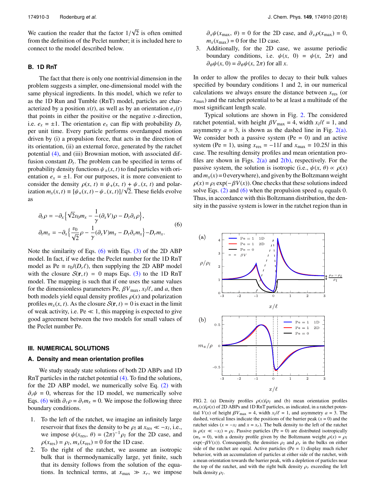We caution the reader that the factor  $1/$ <br>from the definition of the Peclet number: √ 2 is often omitted from the definition of the Peclet number; it is included here to connect to the model described below.

#### <span id="page-3-1"></span>**B. 1D RnT**

The fact that there is only one nontrivial dimension in the problem suggests a simpler, one-dimensional model with the same physical ingredients. In this model, which we refer to as the 1D Run and Tumble (RnT) model, particles are characterized by a position  $x(t)$ , as well as by an orientation  $e_x(t)$ that points in either the positive or the negative *x*-direction, i.e.  $e_x = \pm 1$ . The orientation  $e_x$  can flip with probability  $D_r$ per unit time. Every particle performs overdamped motion driven by (i) a propulsion force, that acts in the direction of its orientation, (ii) an external force, generated by the ratchet potential [\(4\),](#page-2-5) and (iii) Brownian motion, with associated diffusion constant  $D_t$ . The problem can be specified in terms of probability density functions  $\psi_{\pm}(x, t)$  to find particles with orientation  $e_x = \pm 1$ . For our purposes, it is more convenient to consider the density  $\rho(x, t) \equiv \psi_+(x, t) + \psi_-(x, t)$  and polar-<br>ization  $m(x, t) = [y(x, t) - y(x, t)]/\sqrt{2}$  These fields evolve ization  $m_x(x, t) \equiv [\psi_+(x, t) - \psi_-(x, t)]/\sqrt{2}$ . These fields evolve as

<span id="page-3-2"></span>
$$
\partial_t \rho = -\partial_x \left\{ \sqrt{2} v_0 m_x - \frac{1}{\gamma} (\partial_x V) \rho - D_t \partial_x \rho \right\},\
$$
  

$$
\partial_t m_x = -\partial_x \left\{ \frac{v_0}{\sqrt{2}} \rho - \frac{1}{\gamma} (\partial_x V) m_x - D_t \partial_x m_x \right\} - D_r m_x.
$$
  
(6)

Note the similarity of Eqs.  $(6)$  with Eqs.  $(3)$  of the 2D ABP model. In fact, if we define the Peclet number for the 1D RnT model as Pe  $\equiv v_0/(D_r\ell)$ , then supplying the 2D ABP model with the closure  $S(r, t) = 0$  maps Eqs. [\(3\)](#page-2-4) to the 1D RnT model. The mapping is such that if one uses the same values for the dimensionless parameters Pe,  $\beta V_{\text{max}}$ ,  $x_l / l$ , and *a*, then<br>both models vield equal density profiles  $\rho(x)$  and polarization both models yield equal density profiles  $\rho(x)$  and polarization profiles  $m_x(x, t)$ . As the closure  $S(\mathbf{r}, t) = 0$  is exact in the limit of weak activity, i.e.  $Pe \ll 1$ , this mapping is expected to give good agreement between the two models for small values of the Peclet number Pe.

#### <span id="page-3-0"></span>**III. NUMERICAL SOLUTIONS**

#### <span id="page-3-4"></span>**A. Density and mean orientation profiles**

We study steady state solutions of both 2D ABPs and 1D RnT particles in the ratchet potential [\(4\).](#page-2-5) To find the solutions, for the 2D ABP model, we numerically solve Eq. [\(2\)](#page-2-3) with  $\partial_t \psi = 0$ , whereas for the 1D model, we numerically solve Eqs. [\(6\)](#page-3-2) with  $\partial_t \rho = \partial_t m_x = 0$ . We impose the following three boundary conditions.

- 1. To the left of the ratchet, we imagine an infinitely large reservoir that fixes the density to be  $\rho_l$  at  $x_{\text{res}} \ll -x_l$ , i.e., we impose  $y_l(x - \theta) = (2\pi)^{-1} \rho_l$  for the 2D case, and we impose  $\psi(x_{\text{res}}, \theta) = (2\pi)^{-1} \rho_l$  for the 2D case, and  $\rho(x_{\text{res}}, \theta) = 0$  for the 1D case  $\rho(x_{\text{res}}) = \rho_l, m_x(x_{\text{res}}) = 0$  for the 1D case.<br>To the right of the ratchet we assume
- 2. To the right of the ratchet, we assume an isotropic bulk that is thermodynamically large, yet finite, such that its density follows from the solution of the equations. In technical terms, at  $x_{\text{max}} \gg x_r$ , we impose

 $\partial_x \psi(x_{\text{max}}, \theta) = 0$  for the 2D case, and  $\partial_x \rho(x_{\text{max}}) = 0$ ,  $m_x(x_{\text{max}}) = 0$  for the 1D case.

3. Additionally, for the 2D case, we assume periodic boundary conditions, i.e.  $\psi(x, 0) = \psi(x, 2\pi)$  and  $\partial_{\theta}\psi(x, 0) = \partial_{\theta}\psi(x, 2\pi)$  for all *x*.

In order to allow the profiles to decay to their bulk values specified by boundary conditions 1 and 2, in our numerical calculations we always ensure the distance between  $x_{\text{res}}$  (or *x*max) and the ratchet potential to be at least a multitude of the most significant length scale.

Typical solutions are shown in Fig. [2.](#page-3-3) The considered ratchet potential, with height  $\beta V_{\text{max}} = 4$ , width  $x_l/\ell = 1$ , and asymmetry  $a = 3$  is shown as the dashed line in Fig. 2(a) asymmetry  $a = 3$ , is shown as the dashed line in Fig. [2\(a\).](#page-3-3) We consider both a passive system  $(Pe = 0)$  and an active system (Pe = 1), using  $x_{res} = -11l$  and  $x_{max} = 10.25l$  in this case. The resulting density profiles and mean orientation profiles are shown in Figs.  $2(a)$  and  $2(b)$ , respectively. For the passive system, the solution is isotropic (i.e.,  $\psi(x, \theta) \propto \rho(x)$ ) and  $m<sub>x</sub>(x) = 0$  everywhere), and given by the Boltzmann weight  $\rho(x) = \rho_l \exp(-\beta V(x))$ . One checks that these solutions indeed solve Eqs. [\(2\)](#page-2-3) and [\(6\)](#page-3-2) when the propulsion speed  $v_0$  equals 0. Thus, in accordance with this Boltzmann distribution, the density in the passive system is lower in the ratchet region than in

<span id="page-3-3"></span>

FIG. 2. (a) Density profiles  $\rho(x)/\rho_l$  and (b) mean orientation profiles  $m_x(x)/\rho(x)$  of 2D ABPs and 1D RnT particles, as indicated, in a ratchet potential *V*(*x*) of height  $\beta V_{\text{max}} = 4$ , width  $x_l/\ell = 1$ , and asymmetry  $a = 3$ . The dashed vertical lines indicate the positions of the barrier peak (*x* = 0) and the dashed, vertical lines indicate the positions of the barrier peak  $(x = 0)$  and the ratchet sides ( $x = -x_l$  and  $x = x_r$ ). The bulk density to the left of the ratchet is  $\rho(x \ll -x_l) = \rho_l$ . Passive particles (Pe = 0) are distributed isotropically  $(m - 0)$  with a density profile given by the Boltzmann weight  $\rho(x) = \rho_l$ .  $(m_x = 0)$ , with a density profile given by the Boltzmann weight  $\rho(x) = \rho_l$  $\exp(-\beta V(x))$ . Consequently, the densities  $\rho_l$  and  $\rho_r$  in the bulks on either side of the ratchet are equal. Active particles ( $Pe = 1$ ) display much richer behavior, with an accumulation of particles at either side of the ratchet, with a mean orientation towards the barrier peak, with a depletion of particles near the top of the ratchet, and with the right bulk density  $\rho_r$  exceeding the left bulk density <sup>ρ</sup>*<sup>l</sup>* .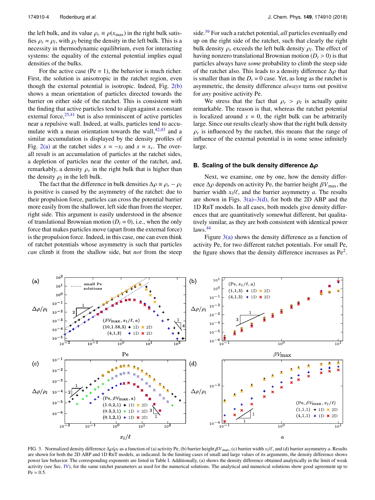the left bulk, and its value  $\rho_r \equiv \rho(x_{\text{max}})$  in the right bulk satisfies  $\rho_r = \rho_l$ , with  $\rho_l$  being the density in the left bulk. This is a necessity in thermodynamic equilibrium, even for interacting necessity in thermodynamic equilibrium, even for interacting systems: the equality of the external potential implies equal densities of the bulks.

For the active case (Pe  $= 1$ ), the behavior is much richer. First, the solution is anisotropic in the ratchet region, even though the external potential is isotropic. Indeed, Fig. [2\(b\)](#page-3-3) shows a mean orientation of particles directed towards the barrier on either side of the ratchet. This is consistent with the finding that active particles tend to align against a constant external force,  $25,41$  $25,41$  but is also reminiscent of active particles near a repulsive wall. Indeed, at walls, particles tend to accumulate with a mean orientation towards the wall,  $42,43$  $42,43$  and a similar accumulation is displayed by the density profiles of Fig. [2\(a\)](#page-3-3) at the ratchet sides  $x = -x_l$  and  $x = x_r$ . The overall result is an accumulation of particles at the ratchet sides, a depletion of particles near the center of the ratchet, and, remarkably, a density  $\rho_r$  in the right bulk that is higher than the density  $\rho_r$  in the left bulk the density  $\rho_l$  in the left bulk.<br>The fact that the difference

The fact that the difference in bulk densities  $\Delta \rho = \rho_r - \rho_l$ is positive is caused by the asymmetry of the ratchet: due to their propulsion force, particles can cross the potential barrier more easily from the shallower, left side than from the steeper, right side. This argument is easily understood in the absence of translational Brownian motion  $(D<sub>t</sub> = 0)$ , i.e., when the only force that makes particles move (apart from the external force) is the propulsion force. Indeed, in this case, one can even think of ratchet potentials whose asymmetry is such that particles *can* climb it from the shallow side, but *not* from the steep

side.[39](#page-11-10) For such a ratchet potential, *all* particles eventually end up on the right side of the ratchet, such that clearly the right bulk density  $\rho_r$  exceeds the left bulk density  $\rho_l$ . The effect of having poperty translational Brownian motion  $(D \ge 0)$  is that having nonzero translational Brownian motion  $(D_t > 0)$  is that particles always have *some* probability to climb the steep side of the ratchet also. This leads to a density difference  $\Delta \rho$  that is smaller than in the  $D_t = 0$  case. Yet, as long as the ratchet is asymmetric, the density difference *always* turns out positive for *any* positive activity Pe.

We stress that the fact that  $\rho_r > \rho_l$  is actually quite<br>triviable. The reason is that whereas the ratchet potential remarkable. The reason is that, whereas the ratchet potential is localized around  $x = 0$ , the right bulk can be arbitrarily large. Since our results clearly show that the right bulk density  $\rho_r$  is influenced by the ratchet, this means that the range of influence of the external potential is in some sense infinitely  $\rho_r$  is influenced by the ratchet, this means that the range of large.

### <span id="page-4-1"></span>**B. Scaling of the bulk density difference ∆***ρ*

Next, we examine, one by one, how the density difference  $\Delta \rho$  depends on activity Pe, the barrier height  $\beta V_{\text{max}}$ , the barrier width  $x_l/l$ , and the barrier asymmetry *a*. The results<br>are shown in Figs.  $3(a)-3(d)$  for both the 2D ARP and the are shown in Figs.  $3(a)-3(d)$ , for both the 2D ABP and the 1D RnT models. In all cases, both models give density differences that are quantitatively somewhat different, but qualitatively similar, as they are both consistent with identical power laws.[44](#page-11-16)

Figure  $3(a)$  shows the density difference as a function of activity Pe, for two different ratchet potentials. For small Pe, the figure shows that the density difference increases as  $Pe<sup>2</sup>$ .

<span id="page-4-0"></span>

FIG. 3. Normalized density difference  $Δρ/ρ<sub>l</sub>$  as a function of (a) activity Pe, (b) barrier height  $βV_{\text{max}}$ , (c) barrier width  $x<sub>l</sub>/ℓ$ , and (d) barrier asymmetry *a*. Results are shown for both the 2D ABP and are shown for both the 2D ABP and 1D RnT models, as indicated. In the limiting cases of small and large values of its arguments, the density difference shows power law behavior. The corresponding exponents are listed in Table [I.](#page-5-1) Additionally, (a) shows the density difference obtained analytically in the limit of weak activity (see Sec. [IV\)](#page-5-0), for the same ratchet parameters as used for the numerical solutions. The analytical and numerical solutions show good agreement up to  $Pe \approx 0.5$ .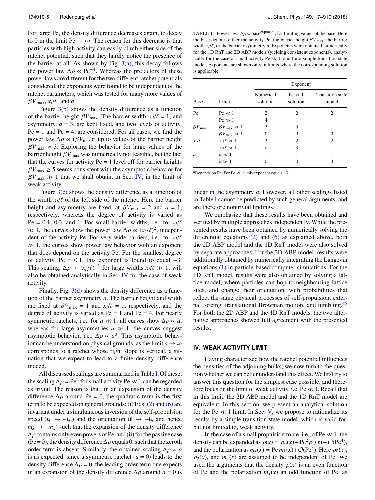For large Pe, the density difference decreases again, to decay to 0 in the limit Pe  $\rightarrow \infty$ . The reason for this decrease is that particles with high activity can easily climb either side of the ratchet potential, such that they hardly notice the presence of the barrier at all. As shown by Fig.  $3(a)$ , this decay follows the power law  $\Delta \rho \propto \text{Pe}^{-4}$ . Whereas the prefactors of these nower laws are different for the two different ratchet potentials power laws are different for the two different ratchet potentials considered, the exponents were found to be independent of the ratchet parameters, which was tested for many more values of  $\beta V_{\text{max}}$ ,  $x_l/l$ , and *a*.<br>Figure 3(b) sh

Figure  $3(b)$  shows the density difference as a function of the barrier height  $\beta V_{\text{max}}$ . The barrier width,  $x_l/\ell = 1$ , and assummetry  $a = 3$ , are kent fixed, and two levels of activity asymmetry,  $a = 3$ , are kept fixed, and two levels of activity,  $Pe = 1$  and  $Pe = 4$ , are considered. For all cases, we find the power law  $\Delta \rho \propto (\beta V_{\text{max}})^3$  up to values of the barrier height  $\beta V \approx 3$ . Exploring the behavior for large values of the  $\beta V_{\text{max}} \approx 3$ . Exploring the behavior for large values of the barrier height  $\beta V_{\text{max}}$  was numerically not feasible, but the fact that the curves for activity  $Pe = 1$  level off for barrier heights  $\beta V_{\text{max}} \geq 5$  seems consistent with the asymptotic behavior for  $\beta V_{\text{max}} \gg 1$  that we shall obtain, in Sec. [IV,](#page-5-0) in the limit of weak activity.

Figure  $3(c)$  shows the density difference as a function of the width  $x_l/\ell$  of the left side of the ratchet. Here the barrier<br>height and asymmetry are fixed at  $\ell V = 2$  and  $a = 1$ height and asymmetry are fixed, at  $\beta V_{\text{max}} = 2$  and  $a = 1$ , respectively, whereas the degree of activity is varied as Pe = 0.1, 0.3, and 1. For small barrier widths, i.e., for  $x_l/l^2 \approx 1$ , the curves show the power law  $A \propto (x_l/l)^2$ , independing  $\ll$  1, the curves show the power law Δρ ∝ (*x*<sub>*l*</sub>/ $\ell$ </sub>)<sup>2</sup>, independent of the activity Pe. For very wide barriers i.e. for *xl*<sup>*l*</sup> dent of the activity Pe. For very wide barriers, i.e., for  $x_l/l^2$  $\gg 1$ , the curves show power law behavior with an exponent that does depend on the activity Pe. For the smallest degree of activity, Pe = 0.1, this exponent is found to equal  $-3$ . This scaling,  $\Delta \rho \propto (x_l/\ell)^{-3}$  for large widths  $x_l/\ell \gg 1$ , will also be obtained analytically in Sec. IV for the case of weak also be obtained analytically in Sec. [IV](#page-5-0) for the case of weak activity.

Finally, Fig.  $3(d)$  shows the density difference as a function of the barrier asymmetry *a*. The barrier height and width are fixed at  $\beta V_{\text{max}} = 1$  and  $x_l/\ell = 1$ , respectively, and the degree of activity is varied as  $Be - 1$  and  $Be - 4$ . For nearly degree of activity is varied as  $Pe = 1$  and  $Pe = 4$ . For nearly symmetric ratchets, i.e., for  $a \ll 1$ , all curves show  $\Delta \rho \propto a$ , whereas for large asymmetries  $a \gg 1$ , the curves suggest asymptotic behavior, i.e.,  $\Delta \rho \propto a^0$ . This asymptotic behavior can be understood on physical grounds, as the limit  $a \rightarrow \infty$ ior can be understood on physical grounds, as the limit  $a \rightarrow \infty$ corresponds to a ratchet whose right slope is vertical, a situation that we expect to lead to a finite density difference indeed.

All discussed scalings are summarized in Table [I.](#page-5-1) Of these, the scaling  $\Delta \rho \propto \text{Pe}^2$  for small activity Pe  $\ll 1$  can be regarded as trivial. The reason is that in an expansion of the density as trivial. The reason is that, in an expansion of the density difference  $\Delta \rho$  around Pe = 0, the quadratic term is the first term to be expected on general grounds: (i) Eqs.  $(2)$  and  $(6)$  are invariant under a simultaneous inversion of the self-propulsion speed ( $v_0 \rightarrow -v_0$ ) and the orientation ( $\hat{\mathbf{e}} \rightarrow -\hat{\mathbf{e}}$ , and hence  $m_x \rightarrow -m_x$ ) such that the expansion of the density difference  $\Delta \rho$  contains only even powers of Pe, and (ii) for the passive case (Pe = 0), the density difference  $\Delta \rho$  equals 0, such that the zeroth order term is absent. Similarly, the obtained scaling  $\Delta \rho \propto a$ is as expected: since a symmetric ratchet  $(a = 0)$  leads to the density difference  $\Delta \rho = 0$ , the leading order term one expects in an expansion of the density difference  $\Delta \rho$  around *a* = 0 is

<span id="page-5-1"></span>TABLE I. Power laws  $\Delta \rho \propto$  base<sup>exponent</sup>, for limiting values of the base. Here the base denotes either the activity Pe, the barrier height  $\beta V_{\text{max}}$ , the barrier width  $x_l/\ell$ , or the barrier asymmetry *a*. Exponents were obtained numerically for the 1D PnT and 2D ABP models (vielding consistent exponents) analyt for the 1D RnT and 2D ABP models (yielding consistent exponents), analytically for the case of small activity  $Pe \ll 1$ , and for a simple transition state model. Exponents are shown only in limits where the corresponding solution is applicable.

|                        | Limit                        | Exponent              |                        |                                  |  |
|------------------------|------------------------------|-----------------------|------------------------|----------------------------------|--|
| Base                   |                              | Numerical<br>solution | $Pe \ll 1$<br>solution | <b>Transition</b> state<br>model |  |
| Pe                     | $Pe \ll 1$                   | $\mathfrak{D}$        | 2                      | 2                                |  |
|                        | $Pe \gg 1$                   |                       |                        |                                  |  |
| $\beta V_{\text{max}}$ | $\beta V_{\text{max}} \ll 1$ | 3                     | 3                      |                                  |  |
|                        | $\beta V_{\text{max}} \gg 1$ | 0                     | 0                      | 0                                |  |
| $x_l/\ell$             | $x_l/\ell \ll 1$             | 2                     | $\overline{c}$         | 2                                |  |
|                        | $x_l/\ell \gg 1$             | a                     | $-3$                   |                                  |  |
| a                      | $a \ll 1$                    |                       |                        |                                  |  |
|                        | $a \gg 1$                    | 0                     | 0                      |                                  |  |

<span id="page-5-2"></span><sup>a</sup>Depends on Pe. For Pe  $\ll 1$ , this exponent equals -3.

linear in the asymmetry *a*. However, all other scalings listed in Table [I](#page-5-1) cannot be predicted by such general arguments, and are therefore nontrivial findings.

We emphasize that these results have been obtained and verified by multiple approaches independently. While the presented results have been obtained by numerically solving the differential equations [\(2\)](#page-2-3) and [\(6\)](#page-3-2) as explained above, both the 2D ABP model and the 1D RnT model were also solved by separate approaches. For the 2D ABP model, results were additionally obtained by numerically integrating the Langevin equations [\(1\)](#page-2-1) in particle-based computer simulations. For the 1D RnT model, results were also obtained by solving a lattice model, where particles can hop to neighbouring lattice sites, and change their orientation, with probabilities that reflect the same physical processes of self-propulsion, exter-nal forcing, translational Brownian motion, and tumbling.<sup>[45](#page-11-17)</sup> For both the 2D ABP and the 1D RnT models, the two alternative approaches showed full agreement with the presented results.

#### <span id="page-5-0"></span>**IV. WEAK ACTIVITY LIMIT**

Having characterized how the ratchet potential influences the densities of the adjoining bulks, we now turn to the question whether we can better understand this effect. We first try to answer this question for the simplest case possible, and therefore focus on the limit of weak activity, i.e.  $Pe \ll 1$ . Recall that in this limit, the 2D ABP model and the 1D RnT model are equivalent. In this section, we present an analytical solution for the Pe  $\ll 1$  limit. In Sec. [V,](#page-7-0) we propose to rationalize its results by a simple transition state model, which is valid for, but not limited to, weak activity.

In the case of a small propulsion force, i.e., of  $Pe \ll 1$ , the density can be expanded as  $\rho(x) = \rho_0(x) + \text{Pe}^2 \rho_2(x) + \mathcal{O}(\text{Pe}^4)$ ,<br>and the polarization as  $m(x) - \text{Pe } m_1(x) + \mathcal{O}(\text{Pe}^3)$ . Here  $\rho_2(x)$ . and the polarization as  $m_x(x) = \text{Pe } m_1(x) + \mathcal{O}(\text{Pe}^3)$ . Here  $\rho_0(x)$ ,<br> $\alpha_2(x)$  and  $m_1(x)$  are assumed to be independent of Be. We  $\rho_2(x)$ , and  $m_1(x)$  are assumed to be independent of Pe. We used the arguments that the density  $\rho(x)$  is an even function of Pe and the polarization  $m<sub>x</sub>(x)$  an odd function of Pe, as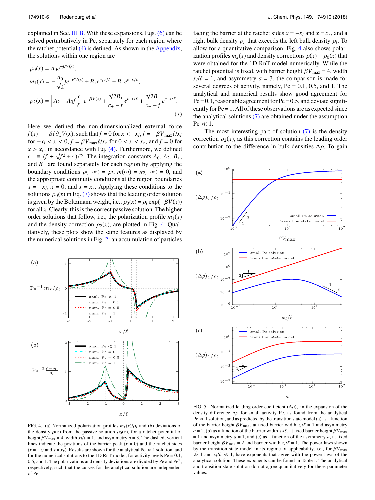explained in Sec. [III B.](#page-4-1) With these expansions, Eqs. [\(6\)](#page-3-2) can be solved perturbatively in Pe, separately for each region where the ratchet potential [\(4\)](#page-2-5) is defined. As shown in the [Appendix,](#page-10-8) the solutions within one region are

$$
\rho_0(x) = A_0 e^{-\beta V(x)},
$$
\n
$$
m_1(x) = -\frac{A_0}{\sqrt{2}} f e^{-\beta V(x)} + B_+ e^{c_+ x/\ell} + B_- e^{c_- x/\ell},
$$
\n
$$
\rho_2(x) = \left[ A_2 - A_0 f \frac{x}{\ell} \right] e^{-\beta V(x)} + \frac{\sqrt{2} B_+}{c_+ - f} e^{c_+ x/\ell} + \frac{\sqrt{2} B_-}{c_- - f} e^{c_- x/\ell}.
$$
\n(7)

Here we defined the non-dimensionalized external force  $f(x) \equiv -\beta \ell \partial_x V(x)$ , such that  $f = 0$  for  $x < -x_l$ ,  $f = -\beta V_{\text{max}} \ell / x_l$ <br>for  $-x_l < r < 0$ ,  $f = \beta V - \ell / x$ , for  $0 < r < r$ , and  $f = 0$  for for  $-x_l < x < 0, f = \beta V_{\text{max}} \ell / x_r$  for  $0 < x < x_r$ , and  $f = 0$  for  $x > x$  in accordance with Eq. (4). Eurthermore, we defined  $x > x_r$ , in accordance with Eq. [\(4\).](#page-2-5) Furthermore, we defined<br> $c = (f + \sqrt{f^2 + 4})/2$ . The integration constants  $A_0, A_2, B_1$  $c_{\pm} \equiv (f \pm \sqrt{f^2 + 4})/2$ . The integration constants  $A_0$ ,  $A_2$ ,  $B_+$ , and  $B_+$  are found separately for each region by applying the and *B*<sup>−</sup> are found separately for each region by applying the boundary conditions  $\rho(-\infty) = \rho_l$ ,  $m(\infty) = m(-\infty) = 0$ , and the appropriate continuity conditions at the region boundaries the appropriate continuity conditions at the region boundaries  $x = -x_l$ ,  $x = 0$ , and  $x = x_r$ . Applying these conditions to the solutions  $\rho_0(x)$  in Eq. [\(7\)](#page-6-0) shows that the leading order solution is given by the Boltzmann weight, i.e.,  $\rho_0(x) = \rho_l \exp(-\beta V(x))$ for all *x*. Clearly, this is the correct passive solution. The higher order solutions that follow, i.e., the polarization profile  $m_1(x)$ and the density correction  $\rho_2(x)$ , are plotted in Fig. [4.](#page-6-1) Qualitatively, these plots show the same features as displayed by the numerical solutions in Fig. [2:](#page-3-3) an accumulation of particles

<span id="page-6-1"></span>

facing the barrier at the ratchet sides  $x = -x_l$  and  $x = x_r$ , and a right bulk density  $\rho_r$  that exceeds the left bulk density  $\rho_l$ . To allow for a quantitative comparison, Fig. [4](#page-6-1) also shows polarization profiles  $m<sub>x</sub>(x)$  and density corrections  $\rho(x) - \rho_0(x)$  that were obtained for the 1D RnT model numerically. While the ratchet potential is fixed, with barrier height  $\beta V_{\text{max}} = 4$ , width  $x_l/\ell = 1$ , and asymmetry  $a = 3$ , the comparison is made for several degrees of activity namely  $Pe = 0.1, 0.5$  and 1. The several degrees of activity, namely,  $Pe = 0.1$ , 0.5, and 1. The analytical and numerical results show good agreement for  $Pe = 0.1$ , reasonable agreement for  $Pe = 0.5$ , and deviate significantly for Pe = 1. All of these observations are as expected since the analytical solutions [\(7\)](#page-6-0) are obtained under the assumption  $Pe \ll 1$ .

<span id="page-6-0"></span>The most interesting part of solution  $(7)$  is the density correction  $\rho_2(x)$ , as this correction contains the leading order contribution to the difference in bulk densities  $\Delta \rho$ . To gain

<span id="page-6-2"></span>

FIG. 4. (a) Normalized polarization profiles  $m_x(x)/\rho_l$  and (b) deviations of the density  $\rho(x)$  from the passive solution  $\rho_0(x)$ , for a ratchet potential of height  $\beta V_{\text{max}} = 4$ , width  $x_l/\ell = 1$ , and asymmetry  $a = 3$ . The dashed, vertical<br>lines indicate the positions of the barrier peak  $(r = 0)$  and the ratchet sides lines indicate the positions of the barrier peak  $(x = 0)$  and the ratchet sides  $(x = -x_l$  and  $x = x_r$ ). Results are shown for the analytical Pe  $\ll 1$  solution, and for the numerical solutions to the 1D RnT model, for activity levels  $Pe = 0.1$ , 0.5, and 1. The polarizations and density deviations are divided by Pe and  $Pe<sup>2</sup>$ , respectively, such that the curves for the analytical solution are independent of Pe.

FIG. 5. Normalized leading order coefficient  $(\Delta \rho)_2$  in the expansion of the density difference  $\Delta \rho$  for small activity Pe, as found from the analytical  $Pe \ll 1$  solution, and as predicted by the transition state model (a) as a function of the barrier height  $\beta V_{\text{max}}$ , at fixed barrier width  $x_l/l = 1$  and asymmetry  $a = 1$ . (b) as a function of the barrier width  $x_l/l$  at fixed barrier height  $\beta V$ *a* = 1, (b) as a function of the barrier width  $x_l/\ell$ , at fixed barrier height  $\beta V_{\text{max}}$ <br>
– 1 and seven metry *a* = 1 and (c) as a function of the asymmetry *a* at fixed  $= 1$  and asymmetry  $a = 1$ , and (c) as a function of the asymmetry  $a$ , at fixed barrier height  $\beta V_{\text{max}} = 2$  and barrier width  $x_l/\ell = 1$ . The power laws shown by the transition state model in its regime of applicability i.e. for  $\beta V_{\text{max}}$ by the transition state model in its regime of applicability, i.e., for <sup>β</sup>*V*max  $\gg 1$  and  $x_l/l \ll 1$ , have exponents that agree with the power laws of the analytical solution. These exponents can be found in Table I. The analytical analytical solution. These exponents can be found in Table [I.](#page-5-1) The analytical and transition state solution do not agree quantitatively for these parameter values.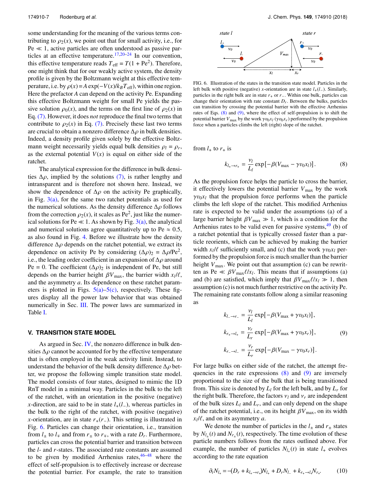some understanding for the meaning of the various terms contributing to  $\rho_2(x)$ , we point out that for small activity, i.e., for  $Pe \ll 1$ , active particles are often understood as passive particles at an effective temperature.[17](#page-11-1)[,20–](#page-11-2)[24](#page-11-18) In our convention, this effective temperature reads  $T_{\text{eff}} = T(1 + \text{Pe}^2)$ . Therefore, one might think that for our weakly active system, the density profile is given by the Boltzmann weight at this effective temperature, i.e. by  $\rho(x) = A \exp(-V(x)/k_B T_{\text{eff}})$ , within one region. Here the prefactor *A* can depend on the activity Pe. Expanding this effective Boltzmann weight for small Pe yields the passive solution  $\rho_0(x)$ , and the terms on the first line of  $\rho_2(x)$  in Eq. [\(7\).](#page-6-0) However, it does *not* reproduce the final two terms that contribute to  $\rho_2(x)$  in Eq. [\(7\).](#page-6-0) Precisely these last two terms are crucial to obtain a nonzero difference  $\Delta \rho$  in bulk densities. Indeed, a density profile given solely by the effective Boltzmann weight necessarily yields equal bulk densities  $\rho_l = \rho_r$ ,<br>as the external potential  $V(r)$  is equal on either side of the as the external potential  $V(x)$  is equal on either side of the ratchet.

The analytical expression for the difference in bulk densities  $\Delta \rho$ , implied by the solutions [\(7\),](#page-6-0) is rather lengthy and intransparent and is therefore not shown here. Instead, we show the dependence of  $\Delta \rho$  on the activity Pe graphically, in Fig.  $3(a)$ , for the same two ratchet potentials as used for the numerical solutions. As the density difference  $\Delta \rho$  follows from the correction  $\rho_2(x)$ , it scales as Pe<sup>2</sup>, just like the numer-<br>ical solutions for Pe  $\ll 1$ , As shown by Fig. 3(a), the analytical ical solutions for Pe  $\ll 1$ . As shown by Fig. [3\(a\),](#page-4-0) the analytical and numerical solutions agree quantitatively up to Pe  $\approx 0.5$ , as also found in Fig. [4.](#page-6-1) Before we illustrate how the density difference  $\Delta \rho$  depends on the ratchet potential, we extract its dependence on activity Pe by considering  $(Δρ)2 = Δρ/Pe<sup>2</sup>$ ,<br>i.e., the leading order coefficient in an expansion of  $Δρ$  around i.e., the leading order coefficient in an expansion of  $\Delta \rho$  around Pe = 0. The coefficient  $(\Delta \rho)_2$  is independent of Pe, but still depends on the barrier height  $\beta V_{\text{max}}$ , the barrier width  $x_l/\ell$ , and the asymmetry *a*. Its dependence on these ratchet parameters is plotted in Figs.  $5(a)$ – $5(c)$ , respectively. These figures display all the power law behavior that was obtained numerically in Sec. [III.](#page-3-0) The power laws are summarized in Table [I.](#page-5-1)

#### <span id="page-7-0"></span>**V. TRANSITION STATE MODEL**

As argued in Sec. [IV,](#page-5-0) the nonzero difference in bulk densities  $\Delta \rho$  cannot be accounted for by the effective temperature that is often employed in the weak activity limit. Instead, to understand the behavior of the bulk density difference  $\Delta \rho$  better, we propose the following simple transition state model. The model consists of four states, designed to mimic the 1D RnT model in a minimal way. Particles in the bulk to the left of the ratchet, with an orientation in the positive (negative) *x*-direction, are said to be in state *l*+(*l*−), whereas particles in the bulk to the right of the ratchet, with positive (negative) *x*-orientation, are in state  $r_{+}(r_{-})$ . This setting is illustrated in Fig. [6.](#page-7-1) Particles can change their orientation, i.e., transition from  $l_{\pm}$  to  $l_{\mp}$  and from  $r_{\pm}$  to  $r_{\mp}$ , with a rate  $D_r$ . Furthermore, particles can cross the potential barrier and transition between the *l*- and *r*-states. The associated rate constants are assumed to be given by modified Arrhenius rates,  $46-48$  $46-48$  where the effect of self-propulsion is to effectively increase or decrease the potential barrier. For example, the rate to transition

<span id="page-7-1"></span>

FIG. 6. Illustration of the states in the transition state model. Particles in the left bulk with positive (negative) *x*-orientation are in state *l*+(*l*−). Similarly, particles in the right bulk are in state *r*+ or *r*−. Within one bulk, particles can change their orientation with rate constant *Dr*. Between the bulks, particles can transition by crossing the potential barrier with the effective Arrhenius rates of Eqs.  $(8)$  and  $(9)$ , where the effect of self-propulsion is to shift the potential barrier  $V_{\text{max}}$  by the work  $\gamma v_0 x_l$  ( $\gamma v_0 x_r$ ) performed by the propulsion force when a particles climbs the left (right) slope of the ratchet force when a particles climbs the left (right) slope of the ratchet.

from  $l_+$  to  $r_+$  is

<span id="page-7-2"></span>
$$
k_{l_{+} \to r_{+}} = \frac{\nu_l}{L_l} \exp\left[-\beta (V_{\text{max}} - \gamma v_0 x_l)\right].\tag{8}
$$

As the propulsion force helps the particle to cross the barrier, it effectively lowers the potential barrier  $V_{\text{max}}$  by the work  $\gamma v_0 x_l$  that the propulsion force performs when the particle<br>climbs the left slope of the ratchet. This modified Arrhenius climbs the left slope of the ratchet. This modified Arrhenius rate is expected to be valid under the assumptions (a) of a large barrier height  $\beta V_{\text{max}} \gg 1$ , which is a condition for the Arrhenius rates to be valid even for passive systems,  $49$  (b) of a ratchet potential that is typically crossed faster than a particle reorients, which can be achieved by making the barrier width  $x_l/\ell$  sufficiently small, and (c) that the work  $\gamma v_0 x_l$  per-<br>formed by the propulsion force is much smaller than the barrier formed by the propulsion force is much smaller than the barrier height  $V_{\text{max}}$ . We point out that assumption (c) can be rewritten as Pe  $\ll \beta V_{\text{max}} \ell / x_l$ . This means that if assumptions (a) and (b) are satisfied which imply that  $\beta V = \ell / x_l \gg 1$  then and (b) are satisfied, which imply that  $\beta V_{\text{max}}\ell/x_l \gg 1$ , then assumption (c) is not much further restrictive on the activity Pe. The remaining rate constants follow along a similar reasoning as

<span id="page-7-3"></span>
$$
k_{L\rightarrow r_{-}} = \frac{\nu_{l}}{L_{l}} \exp[-\beta(V_{\text{max}} + \gamma v_{0}x_{l})],
$$
  
\n
$$
k_{r_{+}\rightarrow l_{+}} = \frac{\nu_{r}}{L_{r}} \exp[-\beta(V_{\text{max}} + \gamma v_{0}x_{r})],
$$
\n
$$
k_{r_{-}\rightarrow l_{-}} = \frac{\nu_{r}}{L_{r}} \exp[-\beta(V_{\text{max}} - \gamma v_{0}x_{r})].
$$
\n(9)

For large bulks on either side of the ratchet, the attempt frequencies in the rate expressions  $(8)$  and  $(9)$  are inversely proportional to the size of the bulk that is being transitioned from. This size is denoted by  $L_l$  for the left bulk, and by  $L_r$  for the right bulk. Therefore, the factors  $v_l$  and  $v_r$  are independent of the bulk sizes  $L_l$  and  $L_r$ , and can only depend on the shape of the ratchet potential, i.e., on its height  $\beta V_{\text{max}}$ , on its width  $x_l / l$ , and on its asymmetry *a*.<br>We denote the number of

We denote the number of particles in the  $l_{\pm}$  and  $r_{\pm}$  states by  $N_{l_{\pm}}(t)$  and  $N_{r_{\pm}}(t)$ , respectively. The time evolution of these particle numbers follows from the rates outlined above. For example, the number of particles  $N_{l+1}(t)$  in state  $l_+$  evolves according to the rate equation

$$
\partial_t N_{l_+} = -(D_r + k_{l_+ \to r_+}) N_{l_+} + D_r N_{l_-} + k_{r_+ \to l_+} N_{r_+}.
$$
 (10)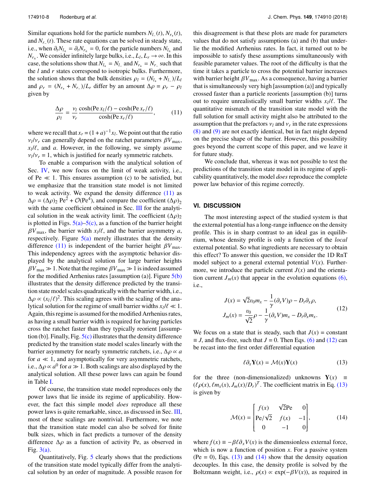Similar equations hold for the particle numbers  $N_l$ <sub>−</sub>(*t*),  $N_{r+}$ (*t*), and *Nr*<sup>−</sup> (*t*). These rate equations can be solved in steady state, i.e., when  $\partial_t N_{l\pm} = \partial_t N_{r\pm} = 0$ , for the particle numbers  $N_{l\pm}$  and  $N = W_e$  consider infinitely large bulks i.e.  $I: I \to \infty$ . In this  $N_{r_{\pm}}$ . We consider infinitely large bulks, i.e.,  $L_l$ ,  $L_r \rightarrow \infty$ . In this case, the solutions show that  $N_{l_+} = N_{l_-}$  and  $N_{r_+} = N_{r_-}$  such that the *l* and *r* states correspond to isotropic bulks. Furthermore, the solution shows that the bulk densities  $\rho_l = (N_l + N_l) / L_l$ <br>and  $\rho_l = (N_l + N_l) / L_l$  differ by an amount  $\Delta \rho = \rho_l = \rho_l$ and  $\rho_r = (N_{r_+} + N_{r_-})/L_r$  differ by an amount  $\Delta \rho = \rho_r - \rho_l$  given by given by

<span id="page-8-1"></span>
$$
\frac{\Delta \rho}{\rho_l} = \frac{v_l}{v_r} \frac{\cosh(\text{Pe} x_l/\ell) - \cosh(\text{Pe} x_r/\ell)}{\cosh(\text{Pe} x_r/\ell)},\tag{11}
$$

where we recall that  $x_r = (1 + a)^{-1}x_l$ . We point out that the ratio  $x_l/v_r$  can generally depend on the ratchet parameters  $\beta v_{\text{max}}$ ,<br>  $x_l/l$ , and *a*. However, in the following, we simply assume<br>  $y_l/v_r = 1$  which is justified for nearly symmetric ratchets  $v_l/v_r$  can generally depend on the ratchet parameters  $\beta V_{\text{max}}$ ,  $v_l/v_r = 1$ , which is justified for nearly symmetric ratchets.<br>To enable a comparison with the analytical solution

To enable a comparison with the analytical solution of Sec. [IV,](#page-5-0) we now focus on the limit of weak activity, i.e., of Pe  $\ll$  1. This ensures assumption (c) to be satisfied, but we emphasize that the transition state model is not limited to weak activity. We expand the density difference  $(11)$  as  $\Delta \rho = (\Delta \rho)_2 \text{ Pe}^2 + \mathcal{O}(\text{Pe}^4)$ , and compare the coefficient  $(\Delta \rho)_2$ <br>with the same coefficient obtained in Sec. III for the analytiwith the same coefficient obtained in Sec. [III](#page-3-0) for the analytical solution in the weak activity limit. The coefficient  $(\Delta \rho)_2$ is plotted in Figs.  $5(a)$ – $5(c)$ , as a function of the barrier height  $\beta V_{\text{max}}$ , the barrier width  $x_l/\ell$ , and the barrier asymmetry *a*, respectively. Figure 5(a) merely illustrates that the density respectively. Figure  $5(a)$  merely illustrates that the density difference [\(11\)](#page-8-1) is independent of the barrier height  $\beta V_{\text{max}}$ . This independency agrees with the asymptotic behavior displayed by the analytical solution for large barrier heights  $\beta V_{\text{max}} \gg 1$ . Note that the regime  $\beta V_{\text{max}} \gg 1$  is indeed assumed for the modified Arrhenius rates [assumption (a)]. Figure  $5(b)$ illustrates that the density difference predicted by the transition state model scales quadratically with the barrier width, i.e., <sup>∆</sup>ρ <sup>∝</sup> (*xl*/`) 2 . This scaling agrees with the scaling of the analytical solution for the regime of small barrier widths  $x_l / l \ll 1$ .<br>A gain this regime is assumed for the modified Arrhenius rates Again, this regime is assumed for the modified Arrhenius rates, as having a small barrier width is required for having particles cross the ratchet faster than they typically reorient [assumption (b)]. Finally, Fig.  $5(c)$  illustrates that the density difference predicted by the transition state model scales linearly with the barrier asymmetry for nearly symmetric ratchets, i.e.,  $\Delta \rho \propto a$ for  $a \ll 1$ , and asymptotically for very asymmetric ratchets, i.e.,  $\Delta \rho \propto a^0$  for  $a \gg 1$ . Both scalings are also displayed by the analytical solution. All these nower laws can again be found analytical solution. All these power laws can again be found in Table [I.](#page-5-1)

Of course, the transition state model reproduces only the power laws that lie inside its regime of applicability. However, the fact this simple model *does* reproduce all these power laws is quite remarkable, since, as discussed in Sec. [III,](#page-3-0) most of these scalings are nontrivial. Furthermore, we note that the transition state model can also be solved for finite bulk sizes, which in fact predicts a turnover of the density difference  $\Delta \rho$  as a function of activity Pe, as observed in Fig.  $3(a)$ .

Quantitatively, Fig. [5](#page-6-2) clearly shows that the predictions of the transition state model typically differ from the analytical solution by an order of magnitude. A possible reason for

this disagreement is that these plots are made for parameters values that do not satisfy assumptions (a) and (b) that underlie the modified Arrhenius rates. In fact, it turned out to be impossible to satisfy these assumptions simultaneously with feasible parameter values. The root of the difficulty is that the time it takes a particle to cross the potential barrier increases with barrier height  $\beta V_{\text{max}}$ . As a consequence, having a barrier that is simultaneously very high [assumption (a)] and typically crossed faster than a particle reorients [assumption (b)] turns out to require unrealistically small barrier widths  $x_l/\ell$ . The quantitative mismatch of the transition state model with the quantitative mismatch of the transition state model with the full solution for small activity might also be attributed to the assumption that the prefactors  $v_l$  and  $v_r$  in the rate expressions  $\binom{8}{2}$  and  $\binom{0}{2}$  are not exactly identical, but in fact might depend [\(8\)](#page-7-2) and [\(9\)](#page-7-3) are not exactly identical, but in fact might depend on the precise shape of the barrier. However, this possibility goes beyond the current scope of this paper, and we leave it for future study.

We conclude that, whereas it was not possible to test the predictions of the transition state model in its regime of applicability quantitatively, the model *does* reproduce the complete power law behavior of this regime correctly.

## <span id="page-8-0"></span>**VI. DISCUSSION**

The most interesting aspect of the studied system is that the external potential has a long-range influence on the density profile. This is in sharp contrast to an ideal gas in equilibrium, whose density profile is only a function of the *local* external potential. So what ingredients are necessary to obtain this effect? To answer this question, we consider the 1D RnT model subject to a general external potential  $V(x)$ . Furthermore, we introduce the particle current  $J(x)$  and the orientation current  $J_m(x)$  that appear in the evolution equations [\(6\),](#page-3-2) i.e.,

<span id="page-8-2"></span>
$$
J(x) = \sqrt{2}v_0m_x - \frac{1}{\gamma}(\partial_x V)\rho - D_t\partial_x \rho,
$$
  
\n
$$
J_m(x) = \frac{v_0}{\sqrt{2}}\rho - \frac{1}{\gamma}(\partial_x V)m_x - D_t\partial_x m_x.
$$
\n(12)

We focus on a state that is steady, such that  $J(x) = constant$  $\equiv$  *J*, and flux-free, such that *J* = 0. Then Eqs. [\(6\)](#page-3-2) and [\(12\)](#page-8-2) can be recast into the first order differential equation

<span id="page-8-3"></span>
$$
\ell \partial_x \mathbf{Y}(x) = \mathcal{M}(x) \mathbf{Y}(x) \tag{13}
$$

for the three (non-dimensionalized) unknowns  $Y(x) \equiv$  $((\ell \rho(x), \ell m_X(x), J_m(x)/D_r)^T$ . The coefficient matrix in Eq. [\(13\)](#page-8-3) is given by is given by

<span id="page-8-4"></span>
$$
\mathcal{M}(x) = \begin{bmatrix} f(x) & \sqrt{2} \text{Pe} & 0 \\ \text{Pe}/\sqrt{2} & f(x) & -1 \\ 0 & -1 & 0 \end{bmatrix}, \quad (14)
$$

where  $f(x) = -\beta \ell \partial_x V(x)$  is the dimensionless external force, which is now a function of position *x*. For a passive system  $(Pe = 0)$ , Eqs.  $(13)$  and  $(14)$  show that the density equation decouples. In this case, the density profile is solved by the Boltzmann weight, i.e.,  $\rho(x) \propto \exp(-\beta V(x))$ , as required in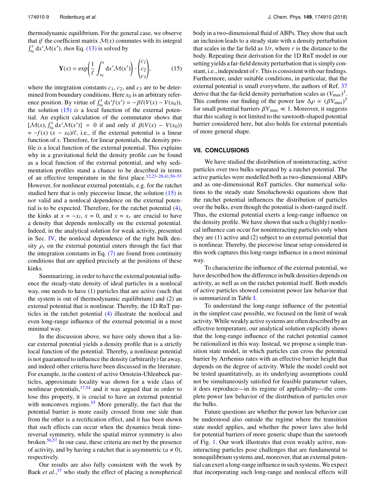thermodynamic equilibrium. For the general case, we observe that *if* the coefficient matrix  $\mathcal{M}(x)$  commutes with its integral  $\int_{x_0}^x dx' \mathcal{M}(x')$ , *then* Eq. [\(13\)](#page-8-3) is solved by

<span id="page-9-1"></span>
$$
\mathbf{Y}(x) = \exp\left(\frac{1}{\ell} \int_{x_0}^x dx' \mathcal{M}(x')\right) \cdot \begin{pmatrix} c_1 \\ c_2 \\ c_3 \end{pmatrix},\tag{15}
$$

where the integration constants  $c_1$ ,  $c_2$ , and  $c_3$  are to be determined from boundary conditions. Here  $x_0$  is an arbitrary reference position. By virtue of  $\int_{x_0}^x dx' f(x') = -\beta \ell (V(x) - V(x_0))$ , the solution (15) is a local function of the external potenthe solution [\(15\)](#page-9-1) *is* a local function of the external potential. An explicit calculation of the commutator shows that  $[\mathcal{M}(x), \int_{x_0}^x dx' \mathcal{M}(x')] = 0$  if and only if  $\beta(V(x) - V(x_0))$ <br> $= -f(x)(x-x_0)/\beta$  i.e. if the external potential is a linear  $= -f(x)$   $(x - x_0)/\ell$ , i.e., if the external potential is a linear function of *x*. Therefore, for linear potentials, the density profile *is* a local function of the external potential. This explains why in a gravitational field the density profile *can* be found as a local function of the external potential, and why sedimentation profiles stand a chance to be described in terms of an effective temperature in the first place.[12](#page-10-4)[,23](#page-11-3)[–28](#page-11-4)[,41,](#page-11-13)[50](#page-11-22)[–53](#page-11-23) However, for nonlinear external potentials, e.g. for the ratchet studied here that is only piecewise linear, the solution [\(15\)](#page-9-1) is *not* valid and a nonlocal dependence on the external potential is to be expected. Therefore, for the ratchet potential [\(4\),](#page-2-5) the kinks at  $x = -x_l$ ,  $x = 0$ , and  $x = x_r$  are crucial to have a density that depends nonlocally on the external potential. Indeed, in the analytical solution for weak activity, presented in Sec. [IV,](#page-5-0) the nonlocal dependence of the right bulk density  $\rho_r$  on the external potential enters through the fact that the integration constants in Eq.  $(7)$  are found from continuity conditions that are applied precisely at the positions of these kinks.

Summarizing, in order to have the external potential influence the steady-state density of ideal particles in a nonlocal way, one needs to have (1) particles that are active (such that the system is out of thermodynamic equilibrium) and (2) an external potential that is nonlinear. Thereby, the 1D RnT particles in the ratchet potential [\(4\)](#page-2-5) illustrate the nonlocal and even long-range influence of the external potential in a most minimal way.

In the discussion above, we have only shown that a linear external potential yields a density profile that is a strictly local function of the potential. Thereby, a nonlinear potential is not guaranteed to influence the density (arbitrarily) far away, and indeed other criteria have been discussed in the literature. For example, in the context of active Ornstein-Uhlenbeck particles, approximate locality was shown for a wide class of nonlinear potentials,  $17,54$  $17,54$  and it was argued that in order to lose this property, it is crucial to have an external potential with nonconvex regions.  $55$  More generally, the fact that the potential barrier is more easily crossed from one side than from the other is a rectification effect, and it has been shown that such effects can occur when the dynamics break timereversal symmetry, while the spatial mirror symmetry is also broken.[56](#page-11-26)[,57](#page-11-27) In our case, these criteria are met by the presence of activity, and by having a ratchet that is asymmetric  $(a \neq 0)$ , respectively.

Our results are also fully consistent with the work by Baek *et al.*,<sup>[37](#page-11-6)</sup> who study the effect of placing a nonspherical body in a two-dimensional fluid of ABPs. They show that such an inclusion leads to a steady state with a density perturbation that scales in the far field as  $1/r$ , where  $r$  is the distance to the body. Repeating their derivation for the 1D RnT model in our setting yields a far-field density perturbation that is simply constant, i.e., independent of*r*. This is consistent with our findings. Furthermore, under suitable conditions, in particular, that the external potential is small everywhere, the authors of Ref. [37](#page-11-6) derive that the far-field density perturbation scales as  $(V_{\text{max}})^3$ . This confirms our finding of the power law  $\Delta \rho \propto (\beta V_{\text{max}})^3$ <br>for small potential barriers  $\beta V \ll 1$  Moreover, it suggests for small potential barriers  $\beta V_{\text{max}} \ll 1$ . Moreover, it suggests that this scaling is not limited to the sawtooth-shaped potential barrier considered here, but also holds for external potentials of more general shape.

#### <span id="page-9-0"></span>**VII. CONCLUSIONS**

We have studied the distribution of noninteracting, active particles over two bulks separated by a ratchet potential. The active particles were modelled both as two-dimensional ABPs and as one-dimensional RnT particles. Our numerical solutions to the steady state Smoluchowski equations show that the ratchet potential influences the distribution of particles over the bulks, even though the potential is short-ranged itself. Thus, the external potential exerts a long-range influence on the density profile. We have shown that such a (highly) nonlocal influence can occur for noninteracting particles only when they are (1) active and (2) subject to an external potential that is nonlinear. Thereby, the piecewise linear setup considered in this work captures this long-range influence in a most minimal way.

To characterize the influence of the external potential, we have described how the difference in bulk densities depends on activity, as well as on the ratchet potential itself. Both models of active particles showed consistent power law behavior that is summarized in Table [I.](#page-5-1)

To understand the long-range influence of the potential in the simplest case possible, we focused on the limit of weak activity. While weakly active systems are often described by an effective temperature, our analytical solution explicitly shows that the long-range influence of the ratchet potential cannot be rationalized in this way. Instead, we propose a simple transition state model, in which particles can cross the potential barrier by Arrhenius rates with an effective barrier height that depends on the degree of activity. While the model could not be tested quantitatively, as its underlying assumptions could not be simultaneously satisfied for feasible parameter values, it does reproduce—in its regime of applicability—the complete power law behavior of the distribution of particles over the bulks.

Future questions are whether the power law behavior can be understood also outside the regime where the transition state model applies, and whether the power laws also hold for potential barriers of more generic shape than the sawtooth of Fig. [1.](#page-1-2) Our work illustrates that even weakly active, noninteracting particles pose challenges that are fundamental to nonequilibrium systems and, moreover, that an external potential can exert a long-range influence in such systems.We expect that incorporating such long-range and nonlocal effects will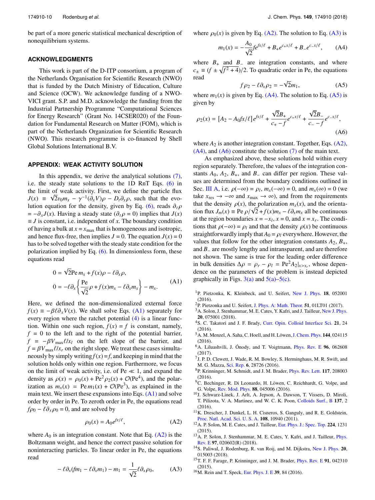be part of a more generic statistical mechanical description of nonequilibrium systems.

#### **ACKNOWLEDGMENTS**

This work is part of the D-ITP consortium, a program of the Netherlands Organisation for Scientific Research (NWO) that is funded by the Dutch Ministry of Education, Culture and Science (OCW). We acknowledge funding of a NWO-VICI grant. S.P. and M.D. acknowledge the funding from the Industrial Partnership Programme "Computational Sciences for Energy Research" (Grant No. 14CSER020) of the Foundation for Fundamental Research on Matter (FOM), which is part of the Netherlands Organization for Scientific Research (NWO). This research programme is co-financed by Shell Global Solutions International B.V.

#### <span id="page-10-8"></span>**APPENDIX: WEAK ACTIVITY SOLUTION**

In this appendix, we derive the analytical solutions [\(7\),](#page-6-0) i.e. the steady state solutions to the 1D RnT Eqs. [\(6\)](#page-3-2) in the limit of weak activity. First, we define the particle flux  $J(x) \equiv \sqrt{2}v_0m_x - \gamma^{-1}(\partial_x V)\rho - D_t\partial_x \rho$ , such that the evo-<br>lution equation for the density given by Eq. (6) reads  $\partial_x \rho$ lution equation for the density, given by Eq. [\(6\),](#page-3-2) reads  $\partial_t \rho$  $= -\partial_x J(x)$ . Having a steady state ( $\partial_t \rho = 0$ ) implies that *J*(*x*)  $\equiv$  *J* is constant, i.e. independent of *x*. The boundary condition of having a bulk at  $x = x_{\text{max}}$  that is homogeneous and isotropic, and hence flux-free, then implies  $J = 0$ . The equation  $J(x) = 0$ has to be solved together with the steady state condition for the polarization implied by Eq.  $(6)$ . In dimensionless form, these equations read

<span id="page-10-9"></span>
$$
0 = \sqrt{2} \text{Pe} \, m_x + f(x) \rho - \ell \partial_x \rho,
$$
  
\n
$$
0 = -\ell \partial_x \left\{ \frac{\text{Pe}}{\sqrt{2}} \rho + f(x) m_x - \ell \partial_x m_x \right\} - m_x.
$$
 (A1)

Here, we defined the non-dimensionalized external force  $f(x) = -\beta \ell \partial_x V(x)$ . We shall solve Eqs. [\(A1\)](#page-10-9) separately for every region where the ratchet potential  $(4)$  is a linear function. Within one such region,  $f(x) = f$  is constant, namely,  $f = 0$  to the left and to the right of the potential barrier,  $f = -\beta V_{\text{max}} \ell / x_l$  on the left slope of the barrier, and  $f = \beta V_{\text{max}} \ell / x_r$  on the right slope. We treat these cases simultaneously by simply writing  $f(x) = f$ , and keeping in mind that the solution holds only within one region. Furthermore, we focus on the limit of weak activity, i.e. of  $Pe \ll 1$ , and expand the density as  $\rho(x) = \rho_0(x) + Pe^2 \rho_2(x) + \mathcal{O}(Pe^4)$ , and the polarization as  $m(x) = Pe m_1(x) + \mathcal{O}(Pe^3)$  as explained in the ization as  $m_x(x) = \text{Pe } m_1(x) + \mathcal{O}(\text{Pe}^3)$ , as explained in the main text. We insert these expansions into Eqs.  $(A1)$  and solve order by order in Pe. To zeroth order in Pe, the equations read  $f \rho_0 - \ell \partial_x \rho_0 = 0$ , and are solved by

<span id="page-10-10"></span>
$$
\rho_0(x) = A_0 e^{f x/\ell},\tag{A2}
$$

where  $A_0$  is an integration constant. Note that Eq.  $(A2)$  is the Boltzmann weight, and hence the correct passive solution for noninteracting particles. To linear order in Pe, the equations read

<span id="page-10-11"></span>
$$
-\ell \partial_x (fm_1 - \ell \partial_x m_1) - m_1 = \frac{1}{\sqrt{2}} \ell \partial_x \rho_0, \tag{A3}
$$

where  $\rho_0(x)$  is given by Eq. [\(A2\).](#page-10-10) The solution to Eq. [\(A3\)](#page-10-11) is

<span id="page-10-12"></span>
$$
m_1(x) = -\frac{A_0}{\sqrt{2}} f e^{fx/\ell} + B_+ e^{c_+ x/\ell} + B_- e^{c_- x/\ell}, \quad (A4)
$$

where  $B_+$  and  $B_-$  are integration constants, and where  $c_{\pm} \equiv (f \pm \sqrt{f^2 + 4})/2$ . To quadratic order in Pe, the equations read read √

<span id="page-10-14"></span><span id="page-10-13"></span>
$$
f \rho_2 - \ell \partial_x \rho_2 = -\sqrt{2} m_1,\tag{A5}
$$

where  $m_1(x)$  is given by Eq. [\(A4\).](#page-10-12) The solution to Eq. [\(A5\)](#page-10-13) is given by

$$
\rho_2(x) = [A_2 - A_0 f x / \ell] e^{f x / \ell} + \frac{\sqrt{2} B_+}{c_+ - f} e^{c_+ x / \ell} + \frac{\sqrt{2} B_-}{c_- - f} e^{c_- x / \ell},
$$
\n(A6)

where  $A_2$  is another integration constant. Together, Eqs.  $(A2)$ ,  $(A4)$ , and  $(A6)$  constitute the solution  $(7)$  of the main text.

As emphasized above, these solutions hold within every region separately. Therefore, the values of the integration constants *A*0, *A*2, *B*+, and *B*<sup>−</sup> can differ per region. These values are determined from the boundary conditions outlined in Sec. [III A,](#page-3-4) i.e.  $\rho(-\infty) = \rho_l$ ,  $m_x(-\infty) = 0$ , and  $m_x(\infty) = 0$  (we take  $x \to -\infty$  and  $x \to \infty$ ) and from the requirements take  $x_{res}$  → −∞ and  $x_{max}$  → ∞), and from the requirements that the density  $\rho(x)$ , the polarization  $m_x(x)$ , and the orientathat the density  $\rho(x)$ , the polarization  $m_x(x)$ , and the orienta-<br>tion flux  $J_m(x) \equiv \text{Pe } \rho/\sqrt{2} + f(x) m_x - \ell \partial_x m_x$  all be continuous<br>at the region boundaries  $x = -x$ ,  $x = 0$  and  $x = x$ . The condiat the region boundaries  $x = -x_l$ ,  $x = 0$ , and  $x = x_r$ . The conditions that  $\rho(-\infty) = \rho_l$  and that the density  $\rho(x)$  be continuous straightforwardly imply that  $A_0 = \rho_l$  everywhere. However, the values that follow for the other integration constants  $A_2$ ,  $B_+$ , and *B*<sup>−</sup> are mostly lengthy and intransparent, and are therefore not shown. The same is true for the leading order difference in bulk densities  $\Delta \rho = \rho_r - \rho_l = \text{Pe}^2 A_2 |_{x > x_r}$ , whose dependence on the parameters of the problem is instead depicted dence on the parameters of the problem is instead depicted graphically in Figs. [3\(a\)](#page-4-0) and  $5(a)$ –5(c).

- <span id="page-10-0"></span><sup>1</sup>P. Pietzonka, K. Kleinbeck, and U. Seifert, [New J. Phys.](https://doi.org/10.1088/1367-2630/18/5/052001) **18**, 052001 (2016).
- <sup>2</sup>P. Pietzonka and U. Seifert, [J. Phys. A: Math. Theor.](https://doi.org/10.1088/1751-8121/aa91b9) **51**, 01LT01 (2017).
- <sup>3</sup>A. Solon, J. Stenhammar, M. E. Cates, Y. Kafri, and J. Tailleur, [New J. Phys.](https://doi.org/10.1088/1367-2630/aaccdd) **20**, 075001 (2018).
- <sup>4</sup>S. C. Takatori and J. F. Brady, [Curr. Opin. Colloid Interface Sci.](https://doi.org/10.1016/j.cocis.2015.12.003) **21**, 24 (2016).
- <sup>5</sup> A. M. Menzel, A. Saha, C. Hoell, and H. Löwen, [J. Chem. Phys.](https://doi.org/10.1063/1.4939630) **144**, 024115 (2016).
- <sup>6</sup>A. Liluashvili, J. Ónody, and T. Voigtmann, [Phys. Rev. E](https://doi.org/10.1103/physreve.96.062608) 96, 062608 (2017).
- <sup>7</sup> J. P. D. Clewett, J. Wade, R. M. Bowley, S. Herminghaus, M. R. Swift, and M. G. Mazza, [Sci. Rep.](https://doi.org/10.1038/srep28726) **6**, 28726 (2016).
- <span id="page-10-1"></span><sup>8</sup>P. Krinninger, M. Schmidt, and J. M. Brader, [Phys. Rev. Lett.](https://doi.org/10.1103/physrevlett.117.208003) **117**, 208003  $(2016)$ .
- <span id="page-10-2"></span><sup>9</sup>C. Bechinger, R. Di Leonardo, H. Löwen, C. Reichhardt, G. Volpe, and G. Volpe, [Rev. Mod. Phys.](https://doi.org/10.1103/revmodphys.88.045006) **88**, 045006 (2016).
- <sup>10</sup>J. Schwarz-Linek, J. Arlt, A. Jepson, A. Dawson, T. Vissers, D. Miroli, T. Pilizota, V. A. Martinez, and W. C. K. Poon, [Colloids Surf., B](https://doi.org/10.1016/j.colsurfb.2015.07.048) **137**, 2 (2016).
- <span id="page-10-3"></span> $11$ K. Drescher, J. Dunkel, L. H. Cisneros, S. Ganguly, and R. E. Goldstein, [Proc. Natl. Acad. Sci. U. S. A.](https://doi.org/10.1073/pnas.1019079108) **108**, 10940 (2011).
- <span id="page-10-4"></span><sup>12</sup>A. P. Solon, M. E. Cates, and J. Tailleur, [Eur. Phys. J.: Spec. Top.](https://doi.org/10.1140/epjst/e2015-02457-0) **224**, 1231 (2015).
- <span id="page-10-5"></span><sup>13</sup>A. P. Solon, J. Stenhammar, M. E. Cates, Y. Kafri, and J. Tailleur, *[Phys.](https://doi.org/10.1103/physreve.97.020602)* [Rev. E](https://doi.org/10.1103/physreve.97.020602) **97**, 020602(R) (2018).
- <span id="page-10-6"></span><sup>14</sup>S. Paliwal, J. Rodenburg, R. van Roij, and M. Dijkstra, [New J. Phys.](https://doi.org/10.1088/1367-2630/aa9b4d) **20**, 015003 (2018).
- <span id="page-10-7"></span><sup>15</sup>T. F. F. Farage, P. Krinninger, and J. M. Brader, [Phys. Rev. E](https://doi.org/10.1103/physreve.91.042310) **91**, 042310 (2015).
- <sup>16</sup>M. Rein and T. Speck, [Eur. Phys. J. E](https://doi.org/10.1140/epje/i2016-16084-7) **39**, 84 (2016).